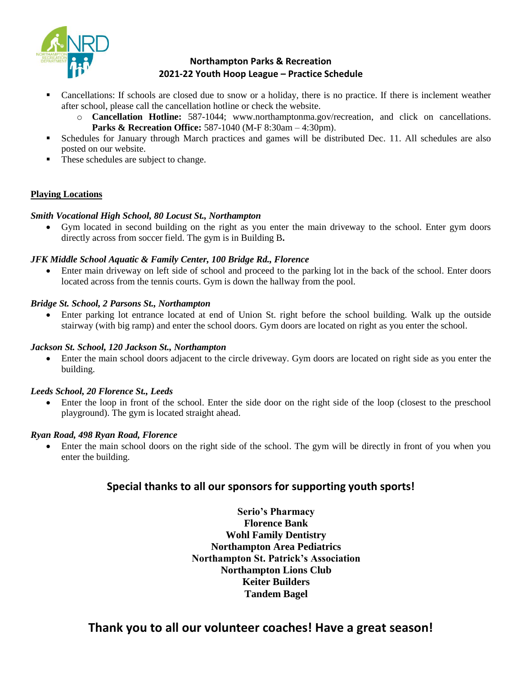

## **Northampton Parks & Recreation 2021-22 Youth Hoop League – Practice Schedule**

- Cancellations: If schools are closed due to snow or a holiday, there is no practice. If there is inclement weather after school, please call the cancellation hotline or check the website.
	- o **Cancellation Hotline:** 587-1044; [www.northamptonma.gov/recreation,](http://www.northamptonma.gov/recreation) and click on cancellations. **Parks & Recreation Office:** 587-1040 (M-F 8:30am – 4:30pm).
- Schedules for January through March practices and games will be distributed Dec. 11. All schedules are also posted on our website.
- These schedules are subject to change.

## **Playing Locations**

## *Smith Vocational High School, 80 Locust St., Northampton*

 Gym located in second building on the right as you enter the main driveway to the school. Enter gym doors directly across from soccer field. The gym is in Building B**.**

## *JFK Middle School Aquatic & Family Center, 100 Bridge Rd., Florence*

 Enter main driveway on left side of school and proceed to the parking lot in the back of the school. Enter doors located across from the tennis courts. Gym is down the hallway from the pool.

## *Bridge St. School, 2 Parsons St., Northampton*

 Enter parking lot entrance located at end of Union St. right before the school building. Walk up the outside stairway (with big ramp) and enter the school doors. Gym doors are located on right as you enter the school.

## *Jackson St. School, 120 Jackson St., Northampton*

 Enter the main school doors adjacent to the circle driveway. Gym doors are located on right side as you enter the building.

## *Leeds School, 20 Florence St., Leeds*

 Enter the loop in front of the school. Enter the side door on the right side of the loop (closest to the preschool playground). The gym is located straight ahead.

## *Ryan Road, 498 Ryan Road, Florence*

 Enter the main school doors on the right side of the school. The gym will be directly in front of you when you enter the building.

## **Special thanks to all our sponsors for supporting youth sports!**

**Serio's Pharmacy Florence Bank Wohl Family Dentistry Northampton Area Pediatrics Northampton St. Patrick's Association Northampton Lions Club Keiter Builders Tandem Bagel** 

## **Thank you to all our volunteer coaches! Have a great season!**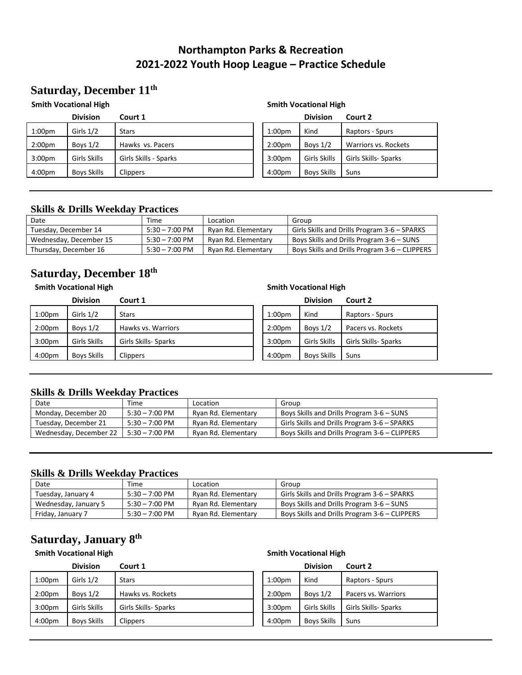## **Northampton Parks & Recreation 2021-2022 Youth Hoop League – Practice Schedule**

## **Saturday, December 11th**

#### **Smith Vocational High Smith Vocational High**

|                    | <b>Division</b>    | Court 1               |                    | <b>Division</b>    | Court 2              |
|--------------------|--------------------|-----------------------|--------------------|--------------------|----------------------|
| 1:00 <sub>pm</sub> | Girls $1/2$        | <b>Stars</b>          | 1:00 <sub>pm</sub> | Kind               | Raptors - Spurs      |
| 2:00 <sub>pm</sub> | Boys $1/2$         | Hawks vs. Pacers      | 2:00 <sub>pm</sub> | Boys $1/2$         | Warriors vs. Rockets |
| 3:00 <sub>pm</sub> | Girls Skills       | Girls Skills - Sparks | 3:00 <sub>pm</sub> | Girls Skills       | Girls Skills- Sparks |
| 4:00 <sub>pm</sub> | <b>Boys Skills</b> | <b>Clippers</b>       | 4:00 <sub>pm</sub> | <b>Boys Skills</b> | Suns                 |

|                    | <b>Division</b>    | Court 2                     |
|--------------------|--------------------|-----------------------------|
| 1:00 <sub>pm</sub> | Kind               | Raptors - Spurs             |
| 2:00 <sub>pm</sub> | Boys $1/2$         | <b>Warriors vs. Rockets</b> |
| 3:00 <sub>pm</sub> | Girls Skills       | Girls Skills- Sparks        |
| 4:00 <sub>pm</sub> | <b>Boys Skills</b> | Suns                        |

## **Skills & Drills Weekday Practices**

| Date                   | Time                     | Location            | Group                                         |
|------------------------|--------------------------|---------------------|-----------------------------------------------|
| Tuesday, December 14   | $5:30 - 7:00 \text{ PM}$ | Rvan Rd. Elementary | Girls Skills and Drills Program 3-6 – SPARKS  |
| Wednesday, December 15 | $5:30 - 7:00 \text{ PM}$ | Ryan Rd. Elementary | Boys Skills and Drills Program 3-6 – SUNS     |
| Thursday, December 16  | $5:30 - 7:00 \text{ PM}$ | Rvan Rd. Elementary | Boys Skills and Drills Program 3-6 – CLIPPERS |

## **Saturday, December 18th**

## **Smith Vocational High Smith Vocational High**

|                    | <b>Division</b>    | Court 1              |                    | <b>Division</b>    | Court 2              |
|--------------------|--------------------|----------------------|--------------------|--------------------|----------------------|
| 1:00 <sub>pm</sub> | Girls $1/2$        | <b>Stars</b>         | 1:00 <sub>pm</sub> | Kind               | Raptors - Spurs      |
| 2:00 <sub>pm</sub> | Boys $1/2$         | Hawks vs. Warriors   | 2:00 <sub>pm</sub> | Boys $1/2$         | Pacers vs. Rockets   |
| 3:00 <sub>pm</sub> | Girls Skills       | Girls Skills- Sparks | 3:00 <sub>pm</sub> | Girls Skills       | Girls Skills- Sparks |
| 4:00pm             | <b>Boys Skills</b> | <b>Clippers</b>      | 4:00 <sub>pm</sub> | <b>Boys Skills</b> | Suns                 |

### **Skills & Drills Weekday Practices**

| Date                   | Time                     | Location            | Group                                         |
|------------------------|--------------------------|---------------------|-----------------------------------------------|
| Monday, December 20    | $5:30 - 7:00$ PM         | Ryan Rd. Elementary | Boys Skills and Drills Program 3-6 - SUNS     |
| Tuesday, December 21   | $5:30 - 7:00 \text{ PM}$ | Ryan Rd. Elementary | Girls Skills and Drills Program 3-6 – SPARKS  |
| Wednesday, December 22 | 5:30 – 7:00 PM           | Rvan Rd. Elementary | Boys Skills and Drills Program 3-6 – CLIPPERS |

## **Skills & Drills Weekday Practices**

| Date                 | Time             | Location            | Group                                         |
|----------------------|------------------|---------------------|-----------------------------------------------|
| Tuesday, January 4   | $5:30 - 7:00$ PM | Ryan Rd. Elementary | Girls Skills and Drills Program 3-6 – SPARKS  |
| Wednesday, January 5 | $5:30 - 7:00$ PM | Ryan Rd. Elementary | Boys Skills and Drills Program 3-6 – SUNS     |
| Friday, January 7    | $5:30 - 7:00$ PM | Ryan Rd. Elementary | Boys Skills and Drills Program 3-6 – CLIPPERS |

## **Saturday, January 8th**

#### **Smith Vocational High Smith Vocational High**

## **Division Court 1 Division Court 2** 1:00pm | Girls 1/2 | Stars 1:00pm | Kind | Raptors - Spurs 2:00pm Boys 1/2 Hawks vs. Rockets 3:00pm Girls Skills Girls Skills- Sparks 4:00pm | Boys Skills | Clippers | | 4:00pm | Boys Skills | Suns

|                    | Division           | Court 2              |
|--------------------|--------------------|----------------------|
| 1:00 <sub>pm</sub> | Kind               | Raptors - Spurs      |
| 2:00 <sub>pm</sub> | Boys $1/2$         | Pacers vs. Warriors  |
| 3:00 <sub>pm</sub> | Girls Skills       | Girls Skills- Sparks |
| 4:00 <sub>pm</sub> | <b>Boys Skills</b> | Suns                 |
|                    |                    |                      |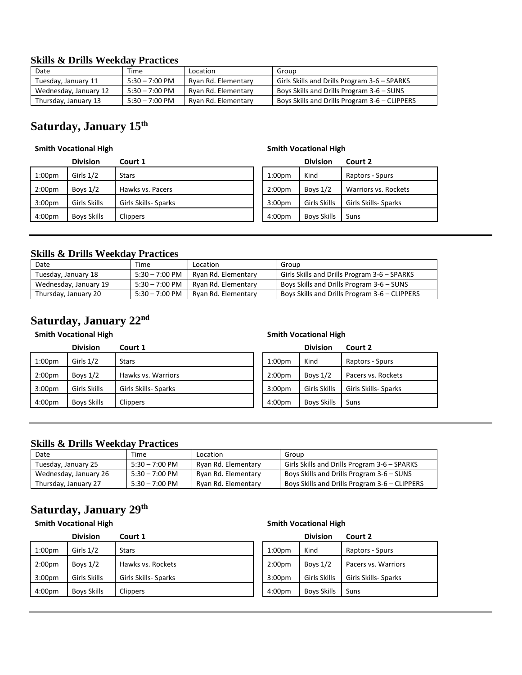### **Skills & Drills Weekday Practices**

| Date                  | Time             | Location            | Group                                         |
|-----------------------|------------------|---------------------|-----------------------------------------------|
| Tuesday, January 11   | $5:30 - 7:00$ PM | Ryan Rd. Elementary | Girls Skills and Drills Program 3-6 – SPARKS  |
| Wednesday, January 12 | $5:30 - 7:00$ PM | Ryan Rd. Elementary | Boys Skills and Drills Program 3-6 – SUNS     |
| Thursday, January 13  | $5:30 - 7:00$ PM | Ryan Rd. Elementary | Boys Skills and Drills Program 3-6 – CLIPPERS |

## **Saturday, January 15th**

#### **Smith Vocational High Smith Vocational High**

## **Division Court 1 Division Court 2** 1:00pm Girls 1/2 Stars Spurs 1:00pm Kind Raptors - Spurs 2:00pm Boys 1/2 Hawks vs. Pacers 2:00pm Boys 1/2 Warriors vs. Rockets 3:00pm Girls Skills Girls Skills- Sparks 3:00pm Girls Skills Girls Skills- Sparks 4:00pm Boys Skills | Clippers 1999 | Clippers 1999 | Boys Skills Suns

#### **Skills & Drills Weekday Practices**

| Date                  | Time             | Location            | Group                                         |
|-----------------------|------------------|---------------------|-----------------------------------------------|
| Tuesday, January 18   | $5:30 - 7:00$ PM | Ryan Rd. Elementary | Girls Skills and Drills Program 3-6 – SPARKS  |
| Wednesday, January 19 | $5:30 - 7:00$ PM | Ryan Rd. Elementary | Boys Skills and Drills Program 3-6 – SUNS     |
| Thursday, January 20  | $5:30 - 7:00$ PM | Ryan Rd. Elementary | Boys Skills and Drills Program 3-6 – CLIPPERS |

## **Saturday, January 22nd**

## **Division Court 1 Division Court 2** 1:00pm | Girls 1/2 | Stars 1:00pm | Kind | Raptors - Spurs 2:00pm Boys 1/2 Hawks vs. Warriors 3:00pm Girls Skills Girls Skills- Sparks 4:00pm | Boys Skills | Clippers | | 4:00pm | Boys Skills | Suns

#### **Smith Vocational High Smith Vocational High**

|                    | <b>Division</b>    | Court 2              |
|--------------------|--------------------|----------------------|
| 1:00 <sub>pm</sub> | Kind               | Raptors - Spurs      |
| 2:00 <sub>pm</sub> | Boys $1/2$         | Pacers vs. Rockets   |
| 3:00 <sub>pm</sub> | Girls Skills       | Girls Skills- Sparks |
| 4:00 <sub>pm</sub> | <b>Boys Skills</b> | Suns                 |

### **Skills & Drills Weekday Practices**

| Date                  | Time                     | Location            | Group                                         |
|-----------------------|--------------------------|---------------------|-----------------------------------------------|
| Tuesday, January 25   | $5:30 - 7:00 \text{ PM}$ | Ryan Rd. Elementary | Girls Skills and Drills Program 3-6 – SPARKS  |
| Wednesday, January 26 | $5:30 - 7:00 \text{ PM}$ | Rvan Rd. Elementary | Boys Skills and Drills Program 3-6 - SUNS     |
| Thursday, January 27  | $5:30 - 7:00 \text{ PM}$ | Ryan Rd. Elementary | Boys Skills and Drills Program 3-6 – CLIPPERS |

## **Saturday, January 29th**

#### **Smith Vocational High Smith Vocational High**

|                    | <b>Division</b>    | Court 1              |                    | <b>Division</b> | Court 2              |
|--------------------|--------------------|----------------------|--------------------|-----------------|----------------------|
| 1:00 <sub>pm</sub> | Girls $1/2$        | <b>Stars</b>         | 1:00 <sub>pm</sub> | Kind            | Raptors - Spurs      |
| 2:00 <sub>pm</sub> | Boys $1/2$         | Hawks vs. Rockets    | 2:00 <sub>pm</sub> | Boys $1/2$      | Pacers vs. Warriors  |
| 3:00 <sub>pm</sub> | Girls Skills       | Girls Skills- Sparks | 3:00 <sub>pm</sub> | Girls Skills    | Girls Skills- Sparks |
| 4:00 <sub>pm</sub> | <b>Boys Skills</b> | <b>Clippers</b>      | 4:00 <sub>pm</sub> | Boys Skills     | Suns                 |
|                    |                    |                      |                    |                 |                      |

|                    | -------            | -----                |
|--------------------|--------------------|----------------------|
| 1:00 <sub>pm</sub> | Kind               | Raptors - Spurs      |
| 2:00 <sub>pm</sub> | Boys $1/2$         | Pacers vs. Warriors  |
| 3:00 <sub>pm</sub> | Girls Skills       | Girls Skills- Sparks |
| 4:00 <sub>pm</sub> | <b>Boys Skills</b> | Suns                 |
|                    |                    |                      |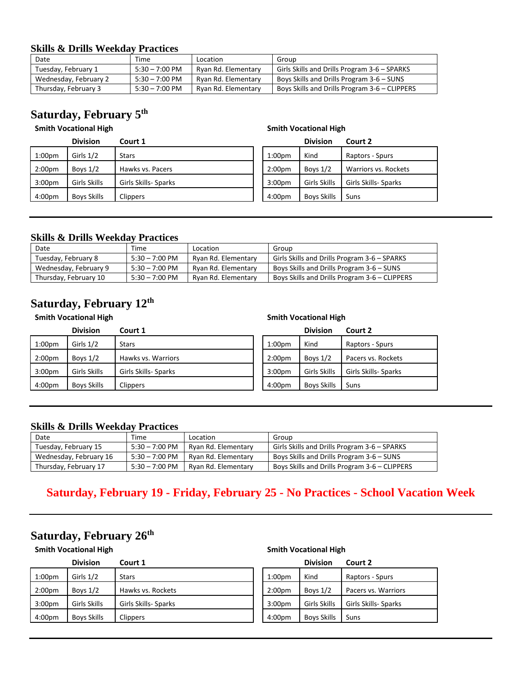### **Skills & Drills Weekday Practices**

| Date                  | Time             | Location            | Group                                         |
|-----------------------|------------------|---------------------|-----------------------------------------------|
| Tuesday, February 1   | $5:30 - 7:00$ PM | Ryan Rd. Elementary | Girls Skills and Drills Program 3-6 – SPARKS  |
| Wednesday, February 2 | $5:30 - 7:00$ PM | Ryan Rd. Elementary | Boys Skills and Drills Program 3-6 – SUNS     |
| Thursday, February 3  | $5:30 - 7:00$ PM | Ryan Rd. Elementary | Boys Skills and Drills Program 3-6 – CLIPPERS |

## **Saturday, February 5th**

#### **Smith Vocational High Smith Vocational High**

**Division Court 1 Division Court 2**

| 1:00 <sub>pm</sub> | Girls $1/2$        | <b>Stars</b>         | 1:00 <sub>pm</sub> | Kind               | Rapt  |
|--------------------|--------------------|----------------------|--------------------|--------------------|-------|
| 2:00 <sub>pm</sub> | Boys $1/2$         | Hawks vs. Pacers     | 2:00 <sub>pm</sub> | Boys $1/2$         | Warı  |
| 3:00 <sub>pm</sub> | Girls Skills       | Girls Skills- Sparks | 3:00 <sub>pm</sub> | Girls Skills       | Girls |
| 4:00 <sub>pm</sub> | <b>Boys Skills</b> | <b>Clippers</b>      | 4:00 <sub>pm</sub> | <b>Boys Skills</b> | Suns  |

# 00pm Kind Raptors - Spurs 00pm Boys 1/2 Warriors vs. Rockets 3:00pm Girls Skills Girls Skills- Sparks 3:00pm Girls Skills Girls Skills- Sparks

### **Skills & Drills Weekday Practices**

| Date                  | Time                     | Location            | Group                                         |
|-----------------------|--------------------------|---------------------|-----------------------------------------------|
| Tuesday, February 8   | $5:30 - 7:00 \text{ PM}$ | Ryan Rd. Elementary | Girls Skills and Drills Program 3-6 – SPARKS  |
| Wednesday, February 9 | $5:30 - 7:00 \text{ PM}$ | Rvan Rd. Elementary | Boys Skills and Drills Program 3-6 - SUNS     |
| Thursday, February 10 | $5:30 - 7:00 \text{ PM}$ | Ryan Rd. Elementary | Boys Skills and Drills Program 3-6 – CLIPPERS |

## **Saturday, February 12th**

#### **Smith Vocational High Smith Vocational High**

|                    | <b>Division</b>    | Court 1              |                    | <b>Division</b>    | Court 2              |
|--------------------|--------------------|----------------------|--------------------|--------------------|----------------------|
| $1:00$ pm          | Girls $1/2$        | <b>Stars</b>         | 1:00 <sub>pm</sub> | Kind               | Raptors - Spurs      |
| 2:00 <sub>pm</sub> | Boys $1/2$         | Hawks vs. Warriors   | 2:00 <sub>pm</sub> | Boys $1/2$         | Pacers vs. Rockets   |
| 3:00 <sub>pm</sub> | Girls Skills       | Girls Skills- Sparks | 3:00 <sub>pm</sub> | Girls Skills       | Girls Skills- Sparks |
| 4:00 <sub>pm</sub> | <b>Boys Skills</b> | <b>Clippers</b>      | 4:00pm             | <b>Boys Skills</b> | Suns                 |

### **Skills & Drills Weekday Practices**

| Date                   | Time                     | Location            | Group                                         |
|------------------------|--------------------------|---------------------|-----------------------------------------------|
| Tuesday, February 15   | $5:30 - 7:00 \text{ PM}$ | Rvan Rd. Elementary | Girls Skills and Drills Program 3-6 – SPARKS  |
| Wednesday, February 16 | $5:30 - 7:00 \text{ PM}$ | Rvan Rd. Elementary | Boys Skills and Drills Program 3-6 - SUNS     |
| Thursday, February 17  | $5:30 - 7:00 \text{ PM}$ | Rvan Rd. Elementary | Boys Skills and Drills Program 3-6 – CLIPPERS |

## **Saturday, February 19 - Friday, February 25 - No Practices - School Vacation Week**

## **Saturday, February 26th**

## **Division Court 1 Division Court 2** 1:00pm | Girls 1/2 | Stars 1:00pm | Kind | Raptors - Spurs 2:00pm Boys  $1/2$  Hawks vs. Rockets 3:00pm Girls Skills Girls Skills- Sparks 4:00pm | Boys Skills | Clippers | | 4:00pm | Boys Skills | Suns

#### **Smith Vocational High Smith Vocational High**

| 1:00 <sub>pm</sub> | Kind               | Raptors - Spurs      |
|--------------------|--------------------|----------------------|
| 2:00 <sub>pm</sub> | Boys $1/2$         | Pacers vs. Warriors  |
| 3:00 <sub>pm</sub> | Girls Skills       | Girls Skills- Sparks |
| 4:00 <sub>pm</sub> | <b>Boys Skills</b> | Suns                 |